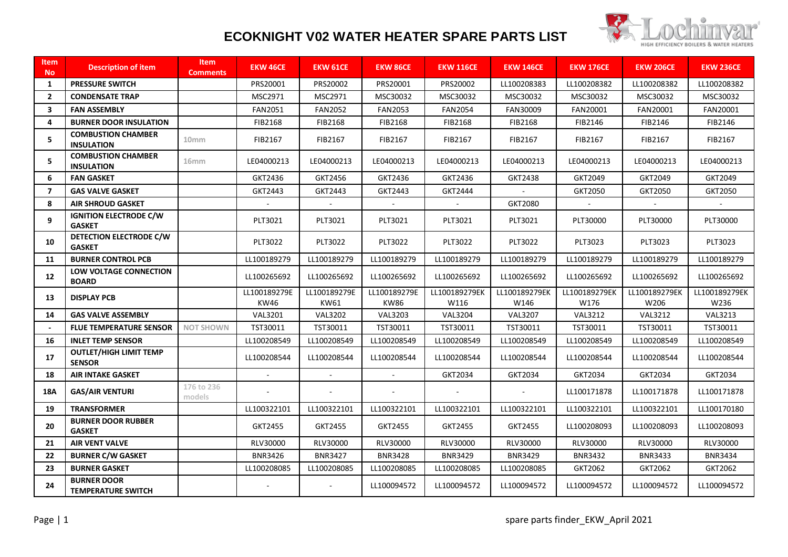

## **ECOKNIGHT V02 WATER HEATER SPARE PARTS LIST**

| <b>Item</b><br>No. | <b>Description of item</b>                      | <b>Item</b><br><b>Comments</b> | <b>EKW 46CE</b>      | <b>EKW 61CE</b>      | <b>EKW 86CE</b>             | <b>EKW 116CE</b>      | <b>EKW 146CE</b>      | <b>EKW 176CE</b>      | <b>EKW 206CE</b>      | <b>EKW 236CE</b>      |
|--------------------|-------------------------------------------------|--------------------------------|----------------------|----------------------|-----------------------------|-----------------------|-----------------------|-----------------------|-----------------------|-----------------------|
| 1                  | <b>PRESSURE SWITCH</b>                          |                                | PRS20001             | PRS20002             | PRS20001                    | PRS20002              | LL100208383           | LL100208382           | LL100208382           | LL100208382           |
| $\overline{2}$     | <b>CONDENSATE TRAP</b>                          |                                | MSC2971              | MSC2971              | MSC30032                    | MSC30032              | MSC30032              | MSC30032              | MSC30032              | MSC30032              |
| 3                  | <b>FAN ASSEMBLY</b>                             |                                | <b>FAN2051</b>       | <b>FAN2052</b>       | <b>FAN2053</b>              | <b>FAN2054</b>        | FAN30009              | FAN20001              | FAN20001              | FAN20001              |
| 4                  | <b>BURNER DOOR INSULATION</b>                   |                                | FIB2168              | FIB2168              | FIB2168                     | FIB2168               | FIB2168               | FIB2146               | FIB2146               | FIB2146               |
| 5                  | <b>COMBUSTION CHAMBER</b><br><b>INSULATION</b>  | 10mm                           | FIB2167              | FIB2167              | FIB2167                     | FIB2167               | FIB2167               | FIB2167               | FIB2167               | FIB2167               |
| 5                  | <b>COMBUSTION CHAMBER</b><br><b>INSULATION</b>  | 16 <sub>mm</sub>               | LE04000213           | LE04000213           | LE04000213                  | LE04000213            | LE04000213            | LE04000213            | LE04000213            | LE04000213            |
| 6                  | <b>FAN GASKET</b>                               |                                | GKT2436              | GKT2456              | GKT2436                     | GKT2436               | GKT2438               | GKT2049               | GKT2049               | GKT2049               |
| $\overline{7}$     | <b>GAS VALVE GASKET</b>                         |                                | GKT2443              | GKT2443              | GKT2443                     | GKT2444               |                       | GKT2050               | GKT2050               | GKT2050               |
| 8                  | <b>AIR SHROUD GASKET</b>                        |                                |                      |                      |                             |                       | GKT2080               |                       |                       |                       |
| 9                  | <b>IGNITION ELECTRODE C/W</b><br><b>GASKET</b>  |                                | PLT3021              | PLT3021              | PLT3021                     | PLT3021               | PLT3021               | PLT30000              | PLT30000              | PLT30000              |
| 10                 | DETECTION ELECTRODE C/W<br><b>GASKET</b>        |                                | PLT3022              | PLT3022              | PLT3022                     | PLT3022               | PLT3022               | PLT3023               | PLT3023               | PLT3023               |
| 11                 | <b>BURNER CONTROL PCB</b>                       |                                | LL100189279          | LL100189279          | LL100189279                 | LL100189279           | LL100189279           | LL100189279           | LL100189279           | LL100189279           |
| 12                 | LOW VOLTAGE CONNECTION<br><b>BOARD</b>          |                                | LL100265692          | LL100265692          | LL100265692                 | LL100265692           | LL100265692           | LL100265692           | LL100265692           | LL100265692           |
| 13                 | <b>DISPLAY PCB</b>                              |                                | LL100189279E<br>KW46 | LL100189279E<br>KW61 | LL100189279E<br><b>KW86</b> | LL100189279EK<br>W116 | LL100189279EK<br>W146 | LL100189279EK<br>W176 | LL100189279EK<br>W206 | LL100189279EK<br>W236 |
| 14                 | <b>GAS VALVE ASSEMBLY</b>                       |                                | <b>VAL3201</b>       | <b>VAL3202</b>       | <b>VAL3203</b>              | <b>VAL3204</b>        | <b>VAL3207</b>        | <b>VAL3212</b>        | <b>VAL3212</b>        | <b>VAL3213</b>        |
|                    | <b>FLUE TEMPERATURE SENSOR</b>                  | <b>NOT SHOWN</b>               | TST30011             | TST30011             | TST30011                    | TST30011              | TST30011              | TST30011              | TST30011              | TST30011              |
| 16                 | <b>INLET TEMP SENSOR</b>                        |                                | LL100208549          | LL100208549          | LL100208549                 | LL100208549           | LL100208549           | LL100208549           | LL100208549           | LL100208549           |
| 17                 | <b>OUTLET/HIGH LIMIT TEMP</b><br><b>SENSOR</b>  |                                | LL100208544          | LL100208544          | LL100208544                 | LL100208544           | LL100208544           | LL100208544           | LL100208544           | LL100208544           |
| 18                 | <b>AIR INTAKE GASKET</b>                        |                                |                      |                      |                             | GKT2034               | GKT2034               | GKT2034               | GKT2034               | GKT2034               |
| 18A                | <b>GAS/AIR VENTURI</b>                          | 176 to 236<br>models           |                      |                      |                             |                       |                       | LL100171878           | LL100171878           | LL100171878           |
| 19                 | <b>TRANSFORMER</b>                              |                                | LL100322101          | LL100322101          | LL100322101                 | LL100322101           | LL100322101           | LL100322101           | LL100322101           | LL100170180           |
| 20                 | <b>BURNER DOOR RUBBER</b><br><b>GASKET</b>      |                                | GKT2455              | GKT2455              | GKT2455                     | GKT2455               | GKT2455               | LL100208093           | LL100208093           | LL100208093           |
| 21                 | <b>AIR VENT VALVE</b>                           |                                | RLV30000             | RLV30000             | RLV30000                    | RLV30000              | RLV30000              | RLV30000              | RLV30000              | RLV30000              |
| 22                 | <b>BURNER C/W GASKET</b>                        |                                | <b>BNR3426</b>       | <b>BNR3427</b>       | <b>BNR3428</b>              | <b>BNR3429</b>        | BNR3429               | BNR3432               | BNR3433               | <b>BNR3434</b>        |
| 23                 | <b>BURNER GASKET</b>                            |                                | LL100208085          | LL100208085          | LL100208085                 | LL100208085           | LL100208085           | GKT2062               | GKT2062               | GKT2062               |
| 24                 | <b>BURNER DOOR</b><br><b>TEMPERATURE SWITCH</b> |                                |                      |                      | LL100094572                 | LL100094572           | LL100094572           | LL100094572           | LL100094572           | LL100094572           |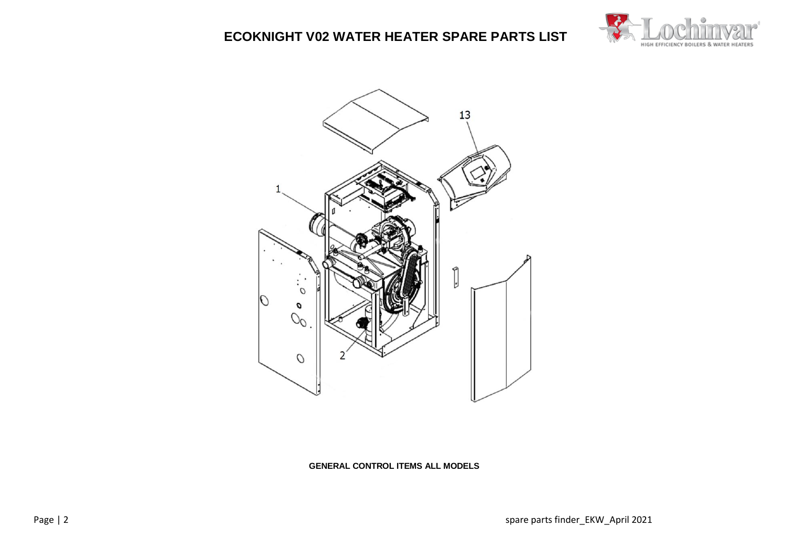**ECOKNIGHT V02 WATER HEATER SPARE PARTS LIST**





**GENERAL CONTROL ITEMS ALL MODELS**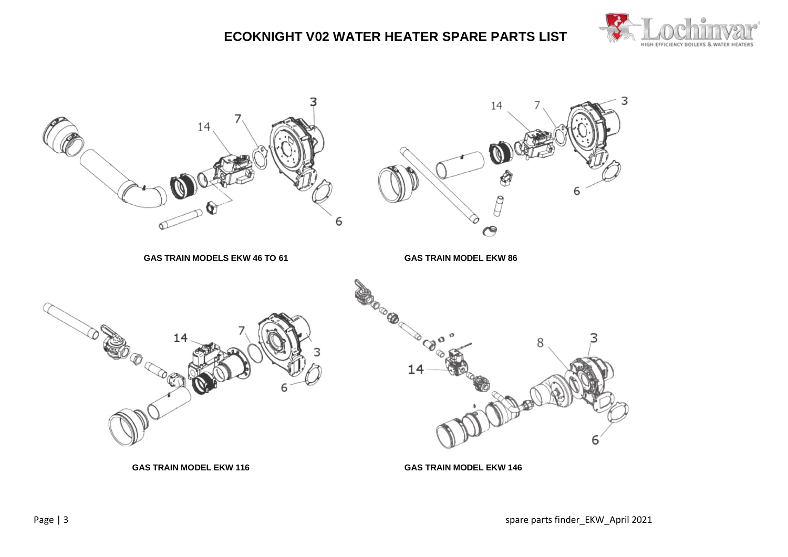



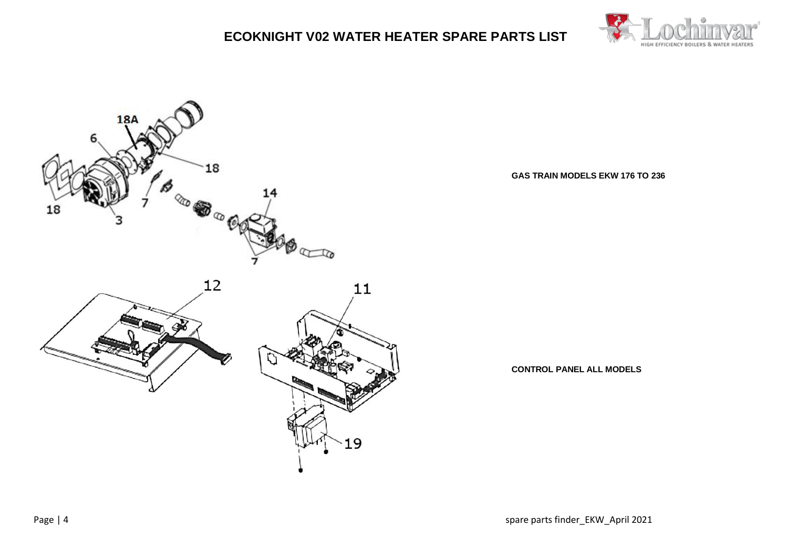





**GAS TRAIN MODELS EKW 176 TO 236**

**CONTROL PANEL ALL MODELS**

Page | 4 spare parts finder\_EKW\_April 2021